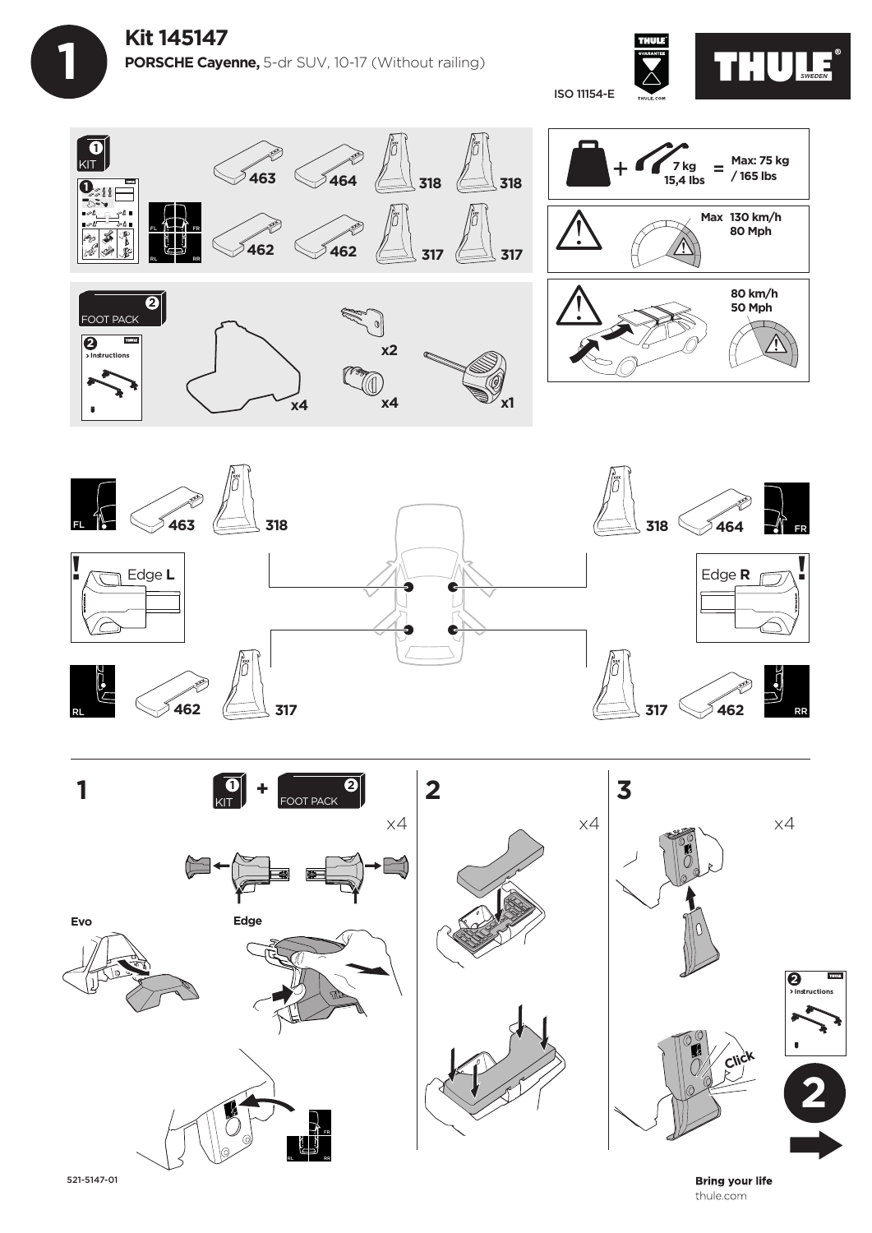

 **1**









521-5147-01

**Bring your life** thule.com